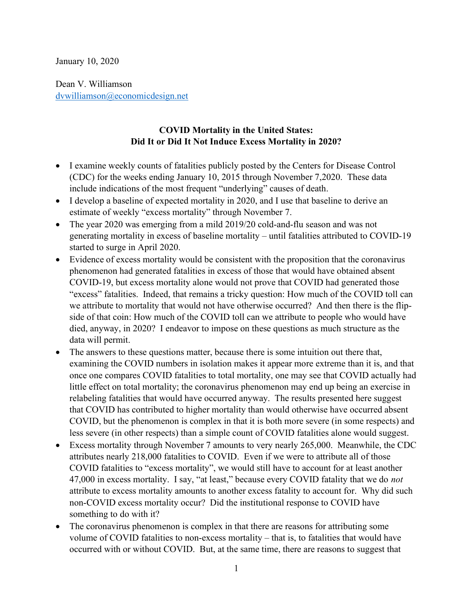January 10, 2020

Dean V. Williamson dvwilliamson@economicdesign.net

## COVID Mortality in the United States: Did It or Did It Not Induce Excess Mortality in 2020?

- I examine weekly counts of fatalities publicly posted by the Centers for Disease Control (CDC) for the weeks ending January 10, 2015 through November 7,2020. These data include indications of the most frequent "underlying" causes of death.
- I develop a baseline of expected mortality in 2020, and I use that baseline to derive an estimate of weekly "excess mortality" through November 7.
- The year 2020 was emerging from a mild 2019/20 cold-and-flu season and was not generating mortality in excess of baseline mortality – until fatalities attributed to COVID-19 started to surge in April 2020.
- Evidence of excess mortality would be consistent with the proposition that the coronavirus phenomenon had generated fatalities in excess of those that would have obtained absent COVID-19, but excess mortality alone would not prove that COVID had generated those "excess" fatalities. Indeed, that remains a tricky question: How much of the COVID toll can we attribute to mortality that would not have otherwise occurred? And then there is the flipside of that coin: How much of the COVID toll can we attribute to people who would have died, anyway, in 2020? I endeavor to impose on these questions as much structure as the data will permit.
- The answers to these questions matter, because there is some intuition out there that, examining the COVID numbers in isolation makes it appear more extreme than it is, and that once one compares COVID fatalities to total mortality, one may see that COVID actually had little effect on total mortality; the coronavirus phenomenon may end up being an exercise in relabeling fatalities that would have occurred anyway. The results presented here suggest that COVID has contributed to higher mortality than would otherwise have occurred absent COVID, but the phenomenon is complex in that it is both more severe (in some respects) and less severe (in other respects) than a simple count of COVID fatalities alone would suggest.
- Excess mortality through November 7 amounts to very nearly 265,000. Meanwhile, the CDC attributes nearly 218,000 fatalities to COVID. Even if we were to attribute all of those COVID fatalities to "excess mortality", we would still have to account for at least another 47,000 in excess mortality. I say, "at least," because every COVID fatality that we do not attribute to excess mortality amounts to another excess fatality to account for. Why did such non-COVID excess mortality occur? Did the institutional response to COVID have something to do with it?
- The coronavirus phenomenon is complex in that there are reasons for attributing some volume of COVID fatalities to non-excess mortality – that is, to fatalities that would have occurred with or without COVID. But, at the same time, there are reasons to suggest that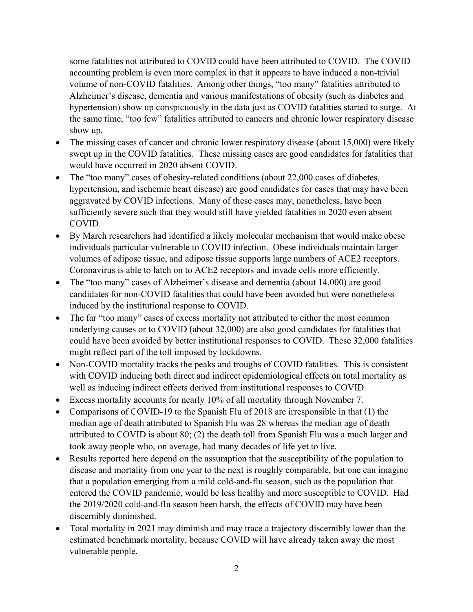some fatalities not attributed to COVID could have been attributed to COVID. The COVID accounting problem is even more complex in that it appears to have induced a non-trivial volume of non-COVID fatalities. Among other things, "too many" fatalities attributed to Alzheimer's disease, dementia and various manifestations of obesity (such as diabetes and hypertension) show up conspicuously in the data just as COVID fatalities started to surge. At the same time, "too few" fatalities attributed to cancers and chronic lower respiratory disease show up.

- The missing cases of cancer and chronic lower respiratory disease (about 15,000) were likely swept up in the COVID fatalities. These missing cases are good candidates for fatalities that would have occurred in 2020 absent COVID.
- The "too many" cases of obesity-related conditions (about 22,000 cases of diabetes, hypertension, and ischemic heart disease) are good candidates for cases that may have been aggravated by COVID infections. Many of these cases may, nonetheless, have been sufficiently severe such that they would still have yielded fatalities in 2020 even absent COVID.
- By March researchers had identified a likely molecular mechanism that would make obese individuals particular vulnerable to COVID infection. Obese individuals maintain larger volumes of adipose tissue, and adipose tissue supports large numbers of ACE2 receptors. Coronavirus is able to latch on to ACE2 receptors and invade cells more efficiently.
- The "too many" cases of Alzheimer's disease and dementia (about 14,000) are good candidates for non-COVID fatalities that could have been avoided but were nonetheless induced by the institutional response to COVID.
- The far "too many" cases of excess mortality not attributed to either the most common underlying causes or to COVID (about 32,000) are also good candidates for fatalities that could have been avoided by better institutional responses to COVID. These 32,000 fatalities might reflect part of the toll imposed by lockdowns.
- Non-COVID mortality tracks the peaks and troughs of COVID fatalities. This is consistent with COVID inducing both direct and indirect epidemiological effects on total mortality as well as inducing indirect effects derived from institutional responses to COVID.
- Excess mortality accounts for nearly 10% of all mortality through November 7.
- Comparisons of COVID-19 to the Spanish Flu of 2018 are irresponsible in that (1) the median age of death attributed to Spanish Flu was 28 whereas the median age of death attributed to COVID is about 80; (2) the death toll from Spanish Flu was a much larger and took away people who, on average, had many decades of life yet to live.
- Results reported here depend on the assumption that the susceptibility of the population to disease and mortality from one year to the next is roughly comparable, but one can imagine that a population emerging from a mild cold-and-flu season, such as the population that entered the COVID pandemic, would be less healthy and more susceptible to COVID. Had the 2019/2020 cold-and-flu season been harsh, the effects of COVID may have been discernibly diminished.
- Total mortality in 2021 may diminish and may trace a trajectory discernibly lower than the estimated benchmark mortality, because COVID will have already taken away the most vulnerable people.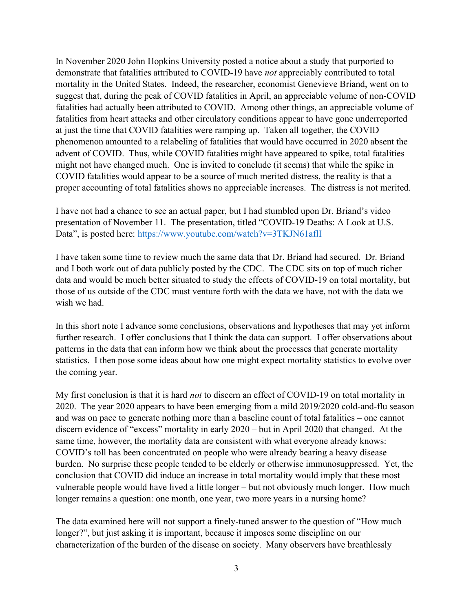In November 2020 John Hopkins University posted a notice about a study that purported to demonstrate that fatalities attributed to COVID-19 have not appreciably contributed to total mortality in the United States. Indeed, the researcher, economist Genevieve Briand, went on to suggest that, during the peak of COVID fatalities in April, an appreciable volume of non-COVID fatalities had actually been attributed to COVID. Among other things, an appreciable volume of fatalities from heart attacks and other circulatory conditions appear to have gone underreported at just the time that COVID fatalities were ramping up. Taken all together, the COVID phenomenon amounted to a relabeling of fatalities that would have occurred in 2020 absent the advent of COVID. Thus, while COVID fatalities might have appeared to spike, total fatalities might not have changed much. One is invited to conclude (it seems) that while the spike in COVID fatalities would appear to be a source of much merited distress, the reality is that a proper accounting of total fatalities shows no appreciable increases. The distress is not merited.

I have not had a chance to see an actual paper, but I had stumbled upon Dr. Briand's video presentation of November 11. The presentation, titled "COVID-19 Deaths: A Look at U.S. Data", is posted here: https://www.youtube.com/watch?v=3TKJN61aflI

I have taken some time to review much the same data that Dr. Briand had secured. Dr. Briand and I both work out of data publicly posted by the CDC. The CDC sits on top of much richer data and would be much better situated to study the effects of COVID-19 on total mortality, but those of us outside of the CDC must venture forth with the data we have, not with the data we wish we had.

In this short note I advance some conclusions, observations and hypotheses that may yet inform further research. I offer conclusions that I think the data can support. I offer observations about patterns in the data that can inform how we think about the processes that generate mortality statistics. I then pose some ideas about how one might expect mortality statistics to evolve over the coming year.

My first conclusion is that it is hard not to discern an effect of COVID-19 on total mortality in 2020. The year 2020 appears to have been emerging from a mild 2019/2020 cold-and-flu season and was on pace to generate nothing more than a baseline count of total fatalities – one cannot discern evidence of "excess" mortality in early 2020 – but in April 2020 that changed. At the same time, however, the mortality data are consistent with what everyone already knows: COVID's toll has been concentrated on people who were already bearing a heavy disease burden. No surprise these people tended to be elderly or otherwise immunosuppressed. Yet, the conclusion that COVID did induce an increase in total mortality would imply that these most vulnerable people would have lived a little longer – but not obviously much longer. How much longer remains a question: one month, one year, two more years in a nursing home?

The data examined here will not support a finely-tuned answer to the question of "How much longer?", but just asking it is important, because it imposes some discipline on our characterization of the burden of the disease on society. Many observers have breathlessly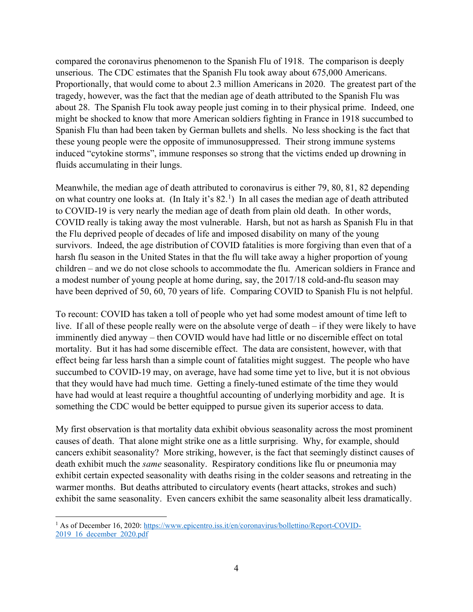compared the coronavirus phenomenon to the Spanish Flu of 1918. The comparison is deeply unserious. The CDC estimates that the Spanish Flu took away about 675,000 Americans. Proportionally, that would come to about 2.3 million Americans in 2020. The greatest part of the tragedy, however, was the fact that the median age of death attributed to the Spanish Flu was about 28. The Spanish Flu took away people just coming in to their physical prime. Indeed, one might be shocked to know that more American soldiers fighting in France in 1918 succumbed to Spanish Flu than had been taken by German bullets and shells. No less shocking is the fact that these young people were the opposite of immunosuppressed. Their strong immune systems induced "cytokine storms", immune responses so strong that the victims ended up drowning in fluids accumulating in their lungs.

Meanwhile, the median age of death attributed to coronavirus is either 79, 80, 81, 82 depending on what country one looks at. (In Italy it's  $82<sup>1</sup>$ ) In all cases the median age of death attributed to COVID-19 is very nearly the median age of death from plain old death. In other words, COVID really is taking away the most vulnerable. Harsh, but not as harsh as Spanish Flu in that the Flu deprived people of decades of life and imposed disability on many of the young survivors. Indeed, the age distribution of COVID fatalities is more forgiving than even that of a harsh flu season in the United States in that the flu will take away a higher proportion of young children – and we do not close schools to accommodate the flu. American soldiers in France and a modest number of young people at home during, say, the 2017/18 cold-and-flu season may have been deprived of 50, 60, 70 years of life. Comparing COVID to Spanish Flu is not helpful.

To recount: COVID has taken a toll of people who yet had some modest amount of time left to live. If all of these people really were on the absolute verge of death – if they were likely to have imminently died anyway – then COVID would have had little or no discernible effect on total mortality. But it has had some discernible effect. The data are consistent, however, with that effect being far less harsh than a simple count of fatalities might suggest. The people who have succumbed to COVID-19 may, on average, have had some time yet to live, but it is not obvious that they would have had much time. Getting a finely-tuned estimate of the time they would have had would at least require a thoughtful accounting of underlying morbidity and age. It is something the CDC would be better equipped to pursue given its superior access to data.

My first observation is that mortality data exhibit obvious seasonality across the most prominent causes of death. That alone might strike one as a little surprising. Why, for example, should cancers exhibit seasonality? More striking, however, is the fact that seemingly distinct causes of death exhibit much the *same* seasonality. Respiratory conditions like flu or pneumonia may exhibit certain expected seasonality with deaths rising in the colder seasons and retreating in the warmer months. But deaths attributed to circulatory events (heart attacks, strokes and such) exhibit the same seasonality. Even cancers exhibit the same seasonality albeit less dramatically.

<sup>&</sup>lt;sup>1</sup> As of December 16, 2020: https://www.epicentro.iss.it/en/coronavirus/bollettino/Report-COVID-2019\_16\_december\_2020.pdf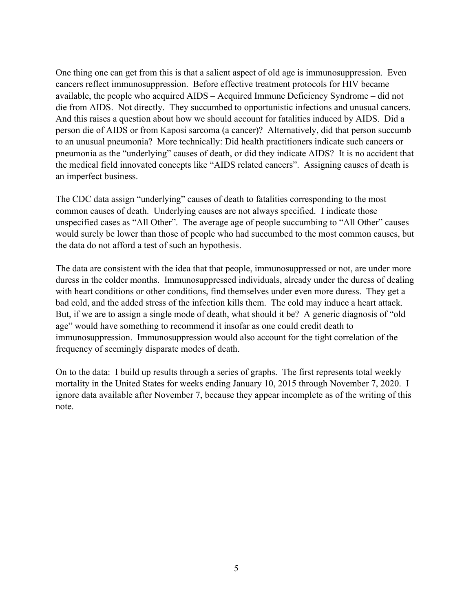One thing one can get from this is that a salient aspect of old age is immunosuppression. Even cancers reflect immunosuppression. Before effective treatment protocols for HIV became available, the people who acquired AIDS – Acquired Immune Deficiency Syndrome – did not die from AIDS. Not directly. They succumbed to opportunistic infections and unusual cancers. And this raises a question about how we should account for fatalities induced by AIDS. Did a person die of AIDS or from Kaposi sarcoma (a cancer)? Alternatively, did that person succumb to an unusual pneumonia? More technically: Did health practitioners indicate such cancers or pneumonia as the "underlying" causes of death, or did they indicate AIDS? It is no accident that the medical field innovated concepts like "AIDS related cancers". Assigning causes of death is an imperfect business.

The CDC data assign "underlying" causes of death to fatalities corresponding to the most common causes of death. Underlying causes are not always specified. I indicate those unspecified cases as "All Other". The average age of people succumbing to "All Other" causes would surely be lower than those of people who had succumbed to the most common causes, but the data do not afford a test of such an hypothesis.

The data are consistent with the idea that that people, immunosuppressed or not, are under more duress in the colder months. Immunosuppressed individuals, already under the duress of dealing with heart conditions or other conditions, find themselves under even more duress. They get a bad cold, and the added stress of the infection kills them. The cold may induce a heart attack. But, if we are to assign a single mode of death, what should it be? A generic diagnosis of "old age" would have something to recommend it insofar as one could credit death to immunosuppression. Immunosuppression would also account for the tight correlation of the frequency of seemingly disparate modes of death.

On to the data: I build up results through a series of graphs. The first represents total weekly mortality in the United States for weeks ending January 10, 2015 through November 7, 2020. I ignore data available after November 7, because they appear incomplete as of the writing of this note.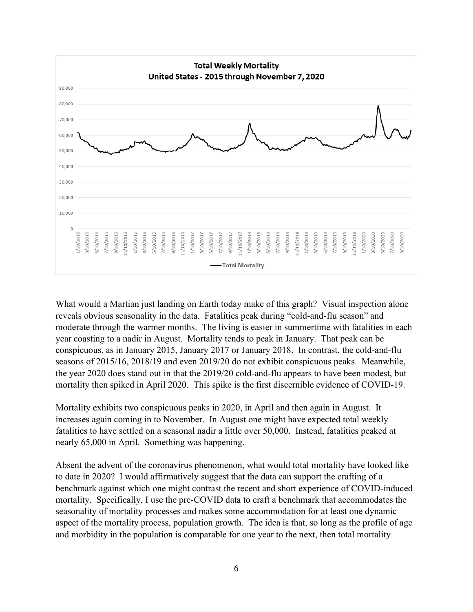

What would a Martian just landing on Earth today make of this graph? Visual inspection alone reveals obvious seasonality in the data. Fatalities peak during "cold-and-flu season" and moderate through the warmer months. The living is easier in summertime with fatalities in each year coasting to a nadir in August. Mortality tends to peak in January. That peak can be conspicuous, as in January 2015, January 2017 or January 2018. In contrast, the cold-and-flu seasons of 2015/16, 2018/19 and even 2019/20 do not exhibit conspicuous peaks. Meanwhile, the year 2020 does stand out in that the 2019/20 cold-and-flu appears to have been modest, but mortality then spiked in April 2020. This spike is the first discernible evidence of COVID-19.

Mortality exhibits two conspicuous peaks in 2020, in April and then again in August. It increases again coming in to November. In August one might have expected total weekly fatalities to have settled on a seasonal nadir a little over 50,000. Instead, fatalities peaked at nearly 65,000 in April. Something was happening.

Absent the advent of the coronavirus phenomenon, what would total mortality have looked like to date in 2020? I would affirmatively suggest that the data can support the crafting of a benchmark against which one might contrast the recent and short experience of COVID-induced mortality. Specifically, I use the pre-COVID data to craft a benchmark that accommodates the seasonality of mortality processes and makes some accommodation for at least one dynamic aspect of the mortality process, population growth. The idea is that, so long as the profile of age and morbidity in the population is comparable for one year to the next, then total mortality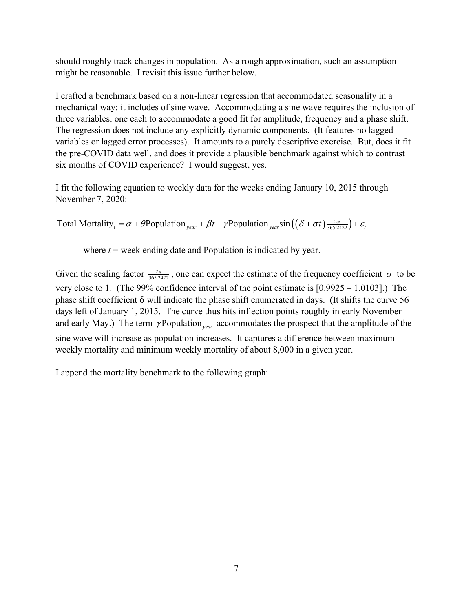should roughly track changes in population. As a rough approximation, such an assumption might be reasonable. I revisit this issue further below.

I crafted a benchmark based on a non-linear regression that accommodated seasonality in a mechanical way: it includes of sine wave. Accommodating a sine wave requires the inclusion of three variables, one each to accommodate a good fit for amplitude, frequency and a phase shift. The regression does not include any explicitly dynamic components. (It features no lagged variables or lagged error processes). It amounts to a purely descriptive exercise. But, does it fit the pre-COVID data well, and does it provide a plausible benchmark against which to contrast six months of COVID experience? I would suggest, yes.

I fit the following equation to weekly data for the weeks ending January 10, 2015 through November 7, 2020:

Total Mortality<sub>t</sub> =  $\alpha$  +  $\theta$ Population <sub>year</sub> +  $\beta$ t +  $\gamma$ Population <sub>year</sub> sin  $((\delta + \sigma t) \frac{2\pi}{365.2422}) + \varepsilon$ <sub>t</sub>

where  $t =$  week ending date and Population is indicated by year.

Given the scaling factor  $\frac{2\pi}{365.2422}$ , one can expect the estimate of the frequency coefficient  $\sigma$  to be very close to 1. (The 99% confidence interval of the point estimate is [0.9925 – 1.0103].) The phase shift coefficient δ will indicate the phase shift enumerated in days. (It shifts the curve 56 days left of January 1, 2015. The curve thus hits inflection points roughly in early November and early May.) The term  $\gamma$ Population <sub>year</sub> accommodates the prospect that the amplitude of the sine wave will increase as population increases. It captures a difference between maximum weekly mortality and minimum weekly mortality of about 8,000 in a given year.

I append the mortality benchmark to the following graph: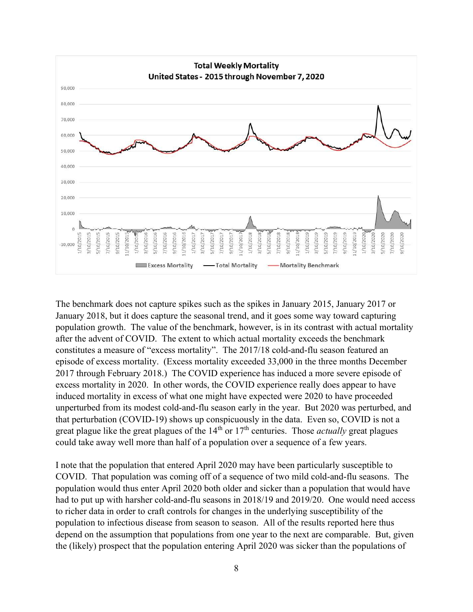

The benchmark does not capture spikes such as the spikes in January 2015, January 2017 or January 2018, but it does capture the seasonal trend, and it goes some way toward capturing population growth. The value of the benchmark, however, is in its contrast with actual mortality after the advent of COVID. The extent to which actual mortality exceeds the benchmark constitutes a measure of "excess mortality". The 2017/18 cold-and-flu season featured an episode of excess mortality. (Excess mortality exceeded 33,000 in the three months December 2017 through February 2018.) The COVID experience has induced a more severe episode of excess mortality in 2020. In other words, the COVID experience really does appear to have induced mortality in excess of what one might have expected were 2020 to have proceeded unperturbed from its modest cold-and-flu season early in the year. But 2020 was perturbed, and that perturbation (COVID-19) shows up conspicuously in the data. Even so, COVID is not a great plague like the great plagues of the  $14<sup>th</sup>$  or  $17<sup>th</sup>$  centuries. Those *actually* great plagues could take away well more than half of a population over a sequence of a few years.

I note that the population that entered April 2020 may have been particularly susceptible to COVID. That population was coming off of a sequence of two mild cold-and-flu seasons. The population would thus enter April 2020 both older and sicker than a population that would have had to put up with harsher cold-and-flu seasons in 2018/19 and 2019/20. One would need access to richer data in order to craft controls for changes in the underlying susceptibility of the population to infectious disease from season to season. All of the results reported here thus depend on the assumption that populations from one year to the next are comparable. But, given the (likely) prospect that the population entering April 2020 was sicker than the populations of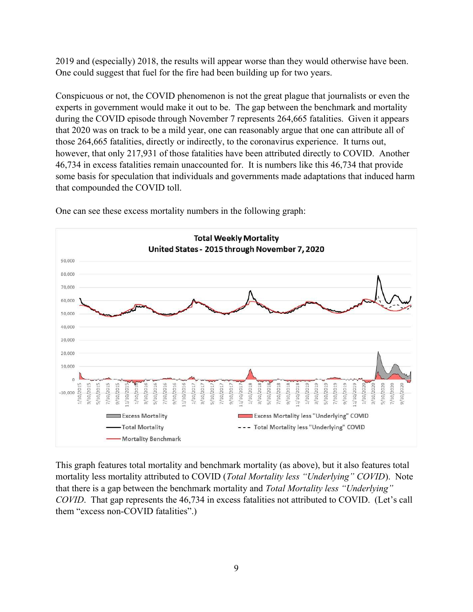2019 and (especially) 2018, the results will appear worse than they would otherwise have been. One could suggest that fuel for the fire had been building up for two years.

Conspicuous or not, the COVID phenomenon is not the great plague that journalists or even the experts in government would make it out to be. The gap between the benchmark and mortality during the COVID episode through November 7 represents 264,665 fatalities. Given it appears that 2020 was on track to be a mild year, one can reasonably argue that one can attribute all of those 264,665 fatalities, directly or indirectly, to the coronavirus experience. It turns out, however, that only 217,931 of those fatalities have been attributed directly to COVID. Another 46,734 in excess fatalities remain unaccounted for. It is numbers like this 46,734 that provide some basis for speculation that individuals and governments made adaptations that induced harm that compounded the COVID toll.



One can see these excess mortality numbers in the following graph:

This graph features total mortality and benchmark mortality (as above), but it also features total mortality less mortality attributed to COVID (Total Mortality less "Underlying" COVID). Note that there is a gap between the benchmark mortality and Total Mortality less "Underlying" COVID. That gap represents the 46,734 in excess fatalities not attributed to COVID. (Let's call them "excess non-COVID fatalities".)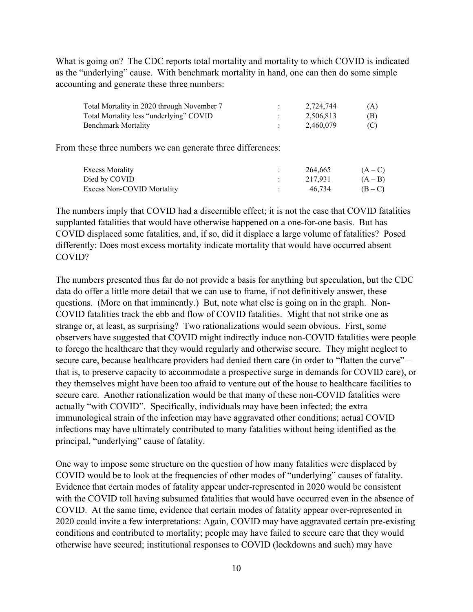What is going on? The CDC reports total mortality and mortality to which COVID is indicated as the "underlying" cause. With benchmark mortality in hand, one can then do some simple accounting and generate these three numbers:

| Total Mortality in 2020 through November 7 | 2.724.744 | (A) |
|--------------------------------------------|-----------|-----|
| Total Mortality less "underlying" COVID    | 2.506.813 | (B) |
| Benchmark Mortality                        | 2.460.079 | (C) |

From these three numbers we can generate three differences:

| <b>Excess Morality</b>     | 264,665 | $(A-C)$   |
|----------------------------|---------|-----------|
| Died by COVID              | 217.931 | $(A - B)$ |
| Excess Non-COVID Mortality | 46.734  | $(B - C)$ |

The numbers imply that COVID had a discernible effect; it is not the case that COVID fatalities supplanted fatalities that would have otherwise happened on a one-for-one basis. But has COVID displaced some fatalities, and, if so, did it displace a large volume of fatalities? Posed differently: Does most excess mortality indicate mortality that would have occurred absent COVID?

The numbers presented thus far do not provide a basis for anything but speculation, but the CDC data do offer a little more detail that we can use to frame, if not definitively answer, these questions. (More on that imminently.) But, note what else is going on in the graph. Non-COVID fatalities track the ebb and flow of COVID fatalities. Might that not strike one as strange or, at least, as surprising? Two rationalizations would seem obvious. First, some observers have suggested that COVID might indirectly induce non-COVID fatalities were people to forego the healthcare that they would regularly and otherwise secure. They might neglect to secure care, because healthcare providers had denied them care (in order to "flatten the curve" – that is, to preserve capacity to accommodate a prospective surge in demands for COVID care), or they themselves might have been too afraid to venture out of the house to healthcare facilities to secure care. Another rationalization would be that many of these non-COVID fatalities were actually "with COVID". Specifically, individuals may have been infected; the extra immunological strain of the infection may have aggravated other conditions; actual COVID infections may have ultimately contributed to many fatalities without being identified as the principal, "underlying" cause of fatality.

One way to impose some structure on the question of how many fatalities were displaced by COVID would be to look at the frequencies of other modes of "underlying" causes of fatality. Evidence that certain modes of fatality appear under-represented in 2020 would be consistent with the COVID toll having subsumed fatalities that would have occurred even in the absence of COVID. At the same time, evidence that certain modes of fatality appear over-represented in 2020 could invite a few interpretations: Again, COVID may have aggravated certain pre-existing conditions and contributed to mortality; people may have failed to secure care that they would otherwise have secured; institutional responses to COVID (lockdowns and such) may have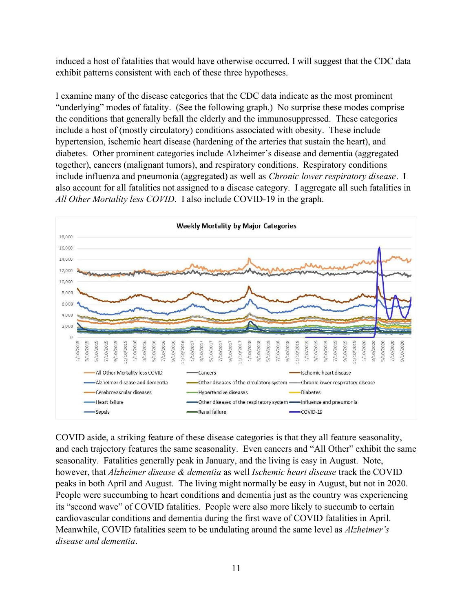induced a host of fatalities that would have otherwise occurred. I will suggest that the CDC data exhibit patterns consistent with each of these three hypotheses.

I examine many of the disease categories that the CDC data indicate as the most prominent "underlying" modes of fatality. (See the following graph.) No surprise these modes comprise the conditions that generally befall the elderly and the immunosuppressed. These categories include a host of (mostly circulatory) conditions associated with obesity. These include hypertension, ischemic heart disease (hardening of the arteries that sustain the heart), and diabetes. Other prominent categories include Alzheimer's disease and dementia (aggregated together), cancers (malignant tumors), and respiratory conditions. Respiratory conditions include influenza and pneumonia (aggregated) as well as Chronic lower respiratory disease. I also account for all fatalities not assigned to a disease category. I aggregate all such fatalities in All Other Mortality less COVID. I also include COVID-19 in the graph.



COVID aside, a striking feature of these disease categories is that they all feature seasonality, and each trajectory features the same seasonality. Even cancers and "All Other" exhibit the same seasonality. Fatalities generally peak in January, and the living is easy in August. Note, however, that Alzheimer disease & dementia as well Ischemic heart disease track the COVID peaks in both April and August. The living might normally be easy in August, but not in 2020. People were succumbing to heart conditions and dementia just as the country was experiencing its "second wave" of COVID fatalities. People were also more likely to succumb to certain cardiovascular conditions and dementia during the first wave of COVID fatalities in April. Meanwhile, COVID fatalities seem to be undulating around the same level as *Alzheimer's* disease and dementia.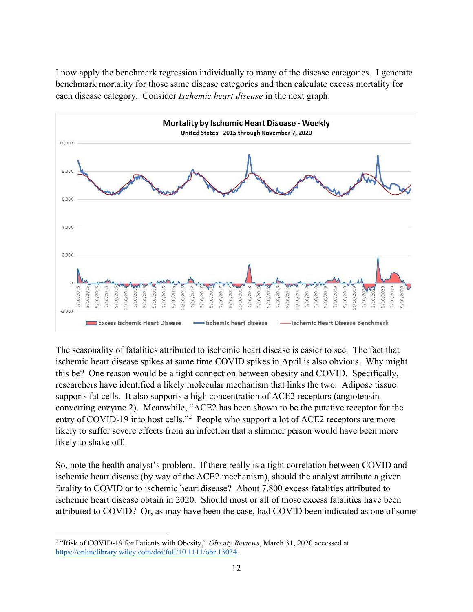I now apply the benchmark regression individually to many of the disease categories. I generate benchmark mortality for those same disease categories and then calculate excess mortality for each disease category. Consider Ischemic heart disease in the next graph:



The seasonality of fatalities attributed to ischemic heart disease is easier to see. The fact that ischemic heart disease spikes at same time COVID spikes in April is also obvious. Why might this be? One reason would be a tight connection between obesity and COVID. Specifically, researchers have identified a likely molecular mechanism that links the two. Adipose tissue supports fat cells. It also supports a high concentration of ACE2 receptors (angiotensin converting enzyme 2). Meanwhile, "ACE2 has been shown to be the putative receptor for the entry of COVID-19 into host cells."<sup>2</sup> People who support a lot of ACE2 receptors are more likely to suffer severe effects from an infection that a slimmer person would have been more likely to shake off.

So, note the health analyst's problem. If there really is a tight correlation between COVID and ischemic heart disease (by way of the ACE2 mechanism), should the analyst attribute a given fatality to COVID or to ischemic heart disease? About 7,800 excess fatalities attributed to ischemic heart disease obtain in 2020. Should most or all of those excess fatalities have been attributed to COVID? Or, as may have been the case, had COVID been indicated as one of some

<sup>&</sup>lt;sup>2</sup> "Risk of COVID-19 for Patients with Obesity," Obesity Reviews, March 31, 2020 accessed at https://onlinelibrary.wiley.com/doi/full/10.1111/obr.13034.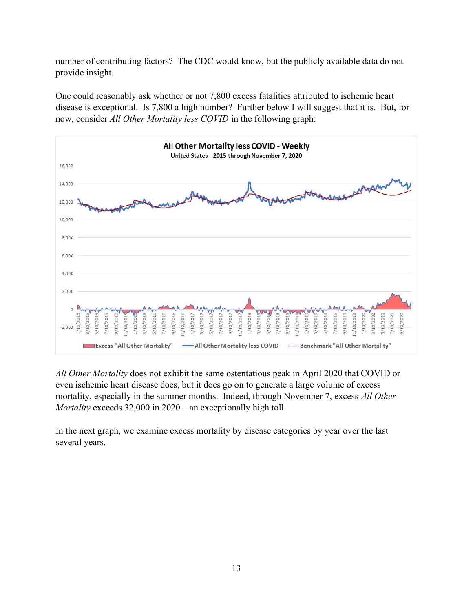number of contributing factors? The CDC would know, but the publicly available data do not provide insight.

One could reasonably ask whether or not 7,800 excess fatalities attributed to ischemic heart disease is exceptional. Is 7,800 a high number? Further below I will suggest that it is. But, for now, consider All Other Mortality less COVID in the following graph:



All Other Mortality does not exhibit the same ostentatious peak in April 2020 that COVID or even ischemic heart disease does, but it does go on to generate a large volume of excess mortality, especially in the summer months. Indeed, through November 7, excess All Other Mortality exceeds 32,000 in 2020 – an exceptionally high toll.

In the next graph, we examine excess mortality by disease categories by year over the last several years.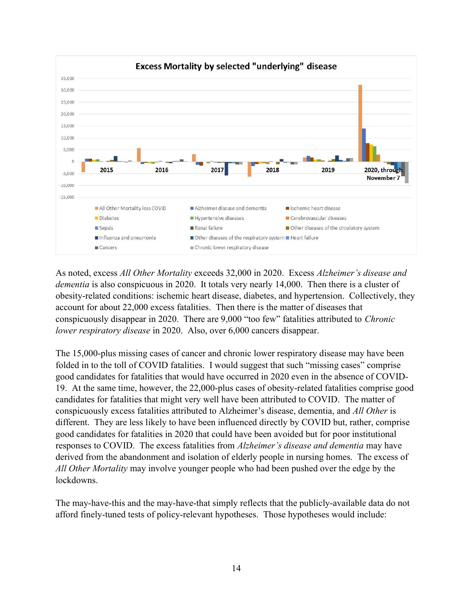

As noted, excess All Other Mortality exceeds 32,000 in 2020. Excess Alzheimer's disease and dementia is also conspicuous in 2020. It totals very nearly 14,000. Then there is a cluster of obesity-related conditions: ischemic heart disease, diabetes, and hypertension. Collectively, they account for about 22,000 excess fatalities. Then there is the matter of diseases that conspicuously disappear in 2020. There are 9,000 "too few" fatalities attributed to Chronic lower respiratory disease in 2020. Also, over 6,000 cancers disappear.

The 15,000-plus missing cases of cancer and chronic lower respiratory disease may have been folded in to the toll of COVID fatalities. I would suggest that such "missing cases" comprise good candidates for fatalities that would have occurred in 2020 even in the absence of COVID-19. At the same time, however, the 22,000-plus cases of obesity-related fatalities comprise good candidates for fatalities that might very well have been attributed to COVID. The matter of conspicuously excess fatalities attributed to Alzheimer's disease, dementia, and All Other is different. They are less likely to have been influenced directly by COVID but, rather, comprise good candidates for fatalities in 2020 that could have been avoided but for poor institutional responses to COVID. The excess fatalities from *Alzheimer's disease and dementia* may have derived from the abandonment and isolation of elderly people in nursing homes. The excess of All Other Mortality may involve younger people who had been pushed over the edge by the lockdowns.

The may-have-this and the may-have-that simply reflects that the publicly-available data do not afford finely-tuned tests of policy-relevant hypotheses. Those hypotheses would include: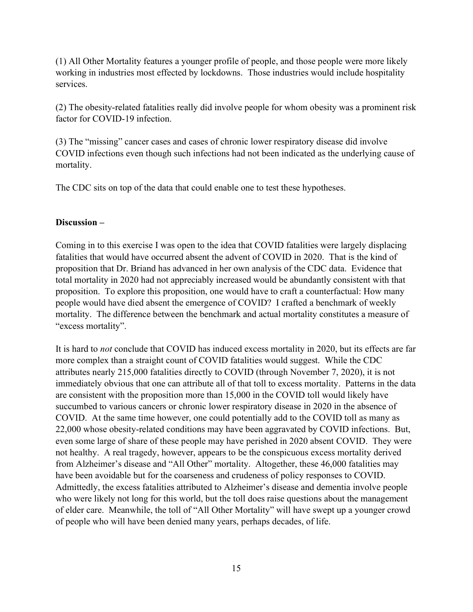(1) All Other Mortality features a younger profile of people, and those people were more likely working in industries most effected by lockdowns. Those industries would include hospitality services.

(2) The obesity-related fatalities really did involve people for whom obesity was a prominent risk factor for COVID-19 infection.

(3) The "missing" cancer cases and cases of chronic lower respiratory disease did involve COVID infections even though such infections had not been indicated as the underlying cause of mortality.

The CDC sits on top of the data that could enable one to test these hypotheses.

## Discussion –

Coming in to this exercise I was open to the idea that COVID fatalities were largely displacing fatalities that would have occurred absent the advent of COVID in 2020. That is the kind of proposition that Dr. Briand has advanced in her own analysis of the CDC data. Evidence that total mortality in 2020 had not appreciably increased would be abundantly consistent with that proposition. To explore this proposition, one would have to craft a counterfactual: How many people would have died absent the emergence of COVID? I crafted a benchmark of weekly mortality. The difference between the benchmark and actual mortality constitutes a measure of "excess mortality".

It is hard to not conclude that COVID has induced excess mortality in 2020, but its effects are far more complex than a straight count of COVID fatalities would suggest. While the CDC attributes nearly 215,000 fatalities directly to COVID (through November 7, 2020), it is not immediately obvious that one can attribute all of that toll to excess mortality. Patterns in the data are consistent with the proposition more than 15,000 in the COVID toll would likely have succumbed to various cancers or chronic lower respiratory disease in 2020 in the absence of COVID. At the same time however, one could potentially add to the COVID toll as many as 22,000 whose obesity-related conditions may have been aggravated by COVID infections. But, even some large of share of these people may have perished in 2020 absent COVID. They were not healthy. A real tragedy, however, appears to be the conspicuous excess mortality derived from Alzheimer's disease and "All Other" mortality. Altogether, these 46,000 fatalities may have been avoidable but for the coarseness and crudeness of policy responses to COVID. Admittedly, the excess fatalities attributed to Alzheimer's disease and dementia involve people who were likely not long for this world, but the toll does raise questions about the management of elder care. Meanwhile, the toll of "All Other Mortality" will have swept up a younger crowd of people who will have been denied many years, perhaps decades, of life.